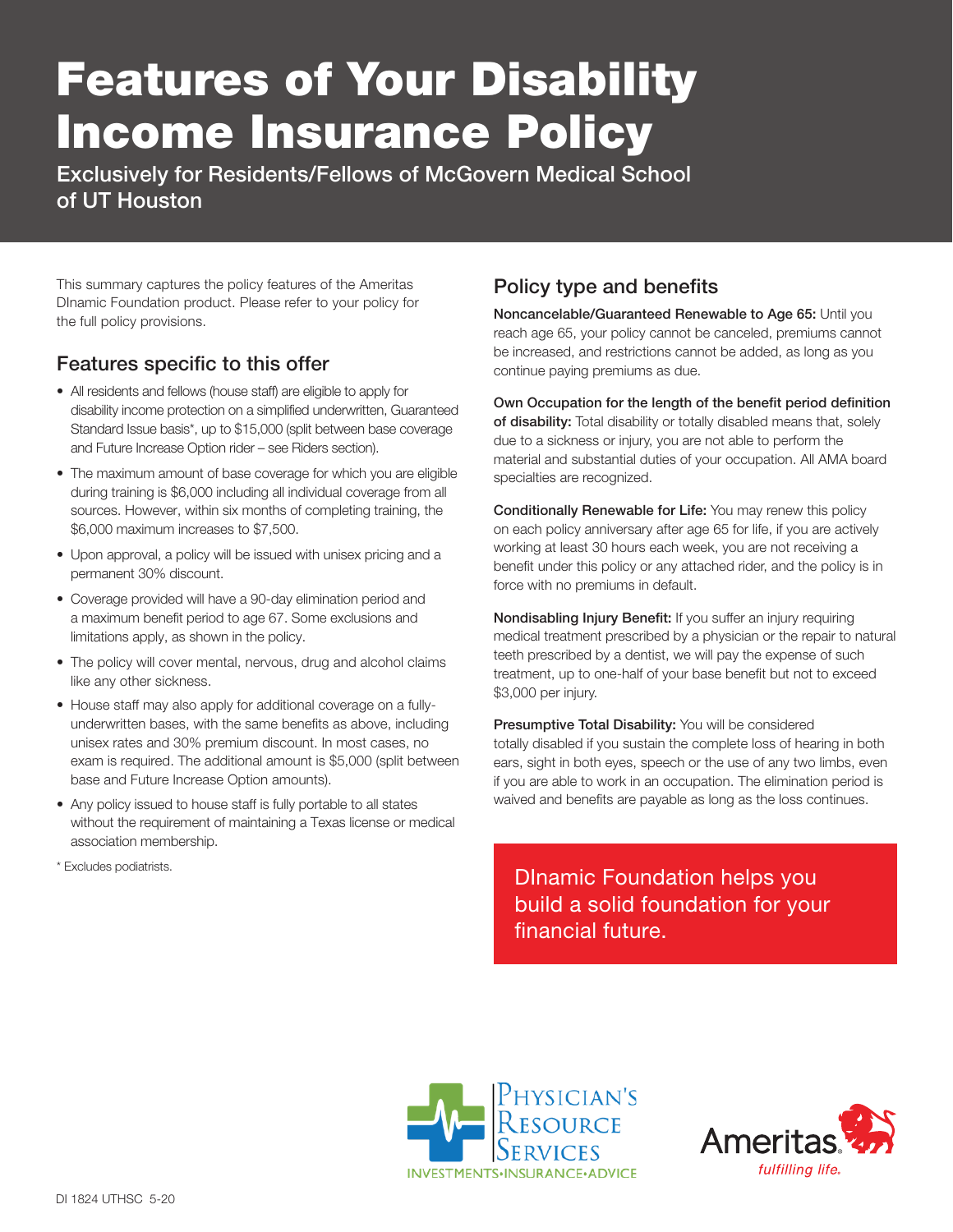## Features of Your Disability Income Insurance Policy

Exclusively for Residents/Fellows of McGovern Medical School of UT Houston

This summary captures the policy features of the Ameritas DInamic Foundation product. Please refer to your policy for the full policy provisions.

## Features specific to this offer

- All residents and fellows (house staff) are eligible to apply for disability income protection on a simplified underwritten, Guaranteed Standard Issue basis\*, up to \$15,000 (split between base coverage and Future Increase Option rider – see Riders section).
- The maximum amount of base coverage for which you are eligible during training is \$6,000 including all individual coverage from all sources. However, within six months of completing training, the \$6,000 maximum increases to \$7,500.
- Upon approval, a policy will be issued with unisex pricing and a permanent 30% discount.
- Coverage provided will have a 90-day elimination period and a maximum benefit period to age 67. Some exclusions and limitations apply, as shown in the policy.
- The policy will cover mental, nervous, drug and alcohol claims like any other sickness.
- House staff may also apply for additional coverage on a fullyunderwritten bases, with the same benefits as above, including unisex rates and 30% premium discount. In most cases, no exam is required. The additional amount is \$5,000 (split between base and Future Increase Option amounts).
- Any policy issued to house staff is fully portable to all states without the requirement of maintaining a Texas license or medical association membership.
- \* Excludes podiatrists.

## Policy type and benefits

Noncancelable/Guaranteed Renewable to Age 65: Until you reach age 65, your policy cannot be canceled, premiums cannot be increased, and restrictions cannot be added, as long as you continue paying premiums as due.

Own Occupation for the length of the benefit period definition of disability: Total disability or totally disabled means that, solely due to a sickness or injury, you are not able to perform the material and substantial duties of your occupation. All AMA board specialties are recognized.

Conditionally Renewable for Life: You may renew this policy on each policy anniversary after age 65 for life, if you are actively working at least 30 hours each week, you are not receiving a benefit under this policy or any attached rider, and the policy is in force with no premiums in default.

Nondisabling Injury Benefit: If you suffer an injury requiring medical treatment prescribed by a physician or the repair to natural teeth prescribed by a dentist, we will pay the expense of such treatment, up to one-half of your base benefit but not to exceed \$3,000 per injury.

Presumptive Total Disability: You will be considered totally disabled if you sustain the complete loss of hearing in both ears, sight in both eyes, speech or the use of any two limbs, even if you are able to work in an occupation. The elimination period is waived and benefits are payable as long as the loss continues.

DInamic Foundation helps you build a solid foundation for your financial future.